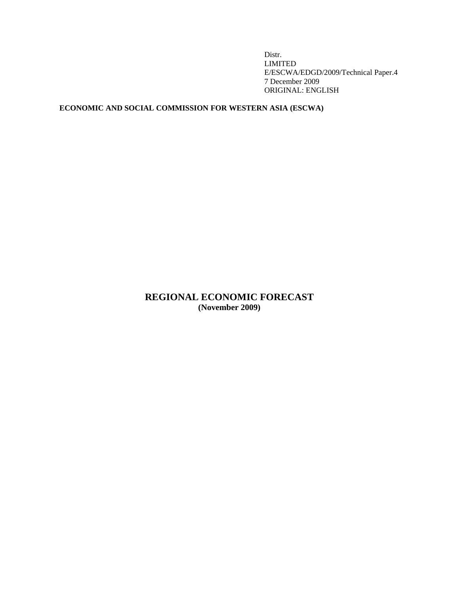Distr. LIMITED E/ESCWA/EDGD/2009/Technical Paper.4 7 December 2009 ORIGINAL: ENGLISH

# **ECONOMIC AND SOCIAL COMMISSION FOR WESTERN ASIA (ESCWA)**

**REGIONAL ECONOMIC FORECAST (November 2009)**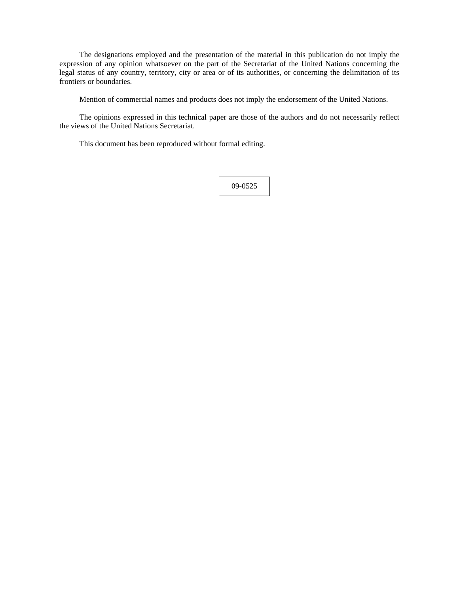The designations employed and the presentation of the material in this publication do not imply the expression of any opinion whatsoever on the part of the Secretariat of the United Nations concerning the legal status of any country, territory, city or area or of its authorities, or concerning the delimitation of its frontiers or boundaries.

Mention of commercial names and products does not imply the endorsement of the United Nations.

 The opinions expressed in this technical paper are those of the authors and do not necessarily reflect the views of the United Nations Secretariat.

This document has been reproduced without formal editing.

09-0525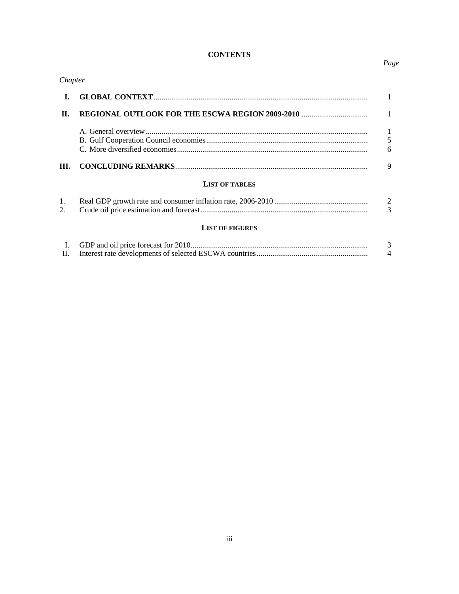## **CONTENTS**

# *Page*

| Chapter |                       |        |
|---------|-----------------------|--------|
|         |                       |        |
| H.      |                       |        |
|         |                       | 5<br>6 |
| III.    |                       |        |
|         | <b>LIST OF TABLES</b> |        |

| ۷. |  |
|----|--|

## **LIST OF FIGURES**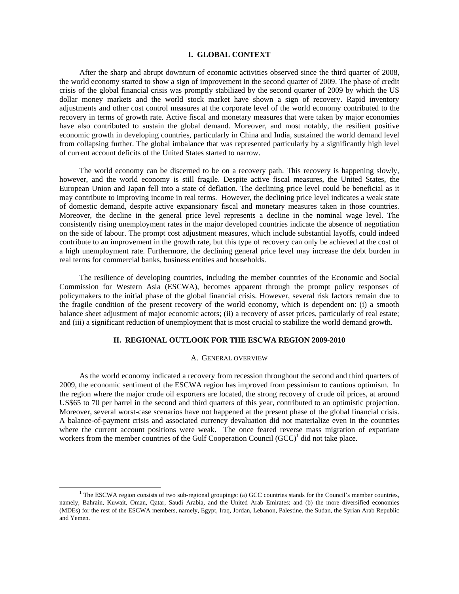### **I. GLOBAL CONTEXT**

 After the sharp and abrupt downturn of economic activities observed since the third quarter of 2008, the world economy started to show a sign of improvement in the second quarter of 2009. The phase of credit crisis of the global financial crisis was promptly stabilized by the second quarter of 2009 by which the US dollar money markets and the world stock market have shown a sign of recovery. Rapid inventory adjustments and other cost control measures at the corporate level of the world economy contributed to the recovery in terms of growth rate. Active fiscal and monetary measures that were taken by major economies have also contributed to sustain the global demand. Moreover, and most notably, the resilient positive economic growth in developing countries, particularly in China and India, sustained the world demand level from collapsing further. The global imbalance that was represented particularly by a significantly high level of current account deficits of the United States started to narrow.

 The world economy can be discerned to be on a recovery path. This recovery is happening slowly, however, and the world economy is still fragile. Despite active fiscal measures, the United States, the European Union and Japan fell into a state of deflation. The declining price level could be beneficial as it may contribute to improving income in real terms. However, the declining price level indicates a weak state of domestic demand, despite active expansionary fiscal and monetary measures taken in those countries. Moreover, the decline in the general price level represents a decline in the nominal wage level. The consistently rising unemployment rates in the major developed countries indicate the absence of negotiation on the side of labour. The prompt cost adjustment measures, which include substantial layoffs, could indeed contribute to an improvement in the growth rate, but this type of recovery can only be achieved at the cost of a high unemployment rate. Furthermore, the declining general price level may increase the debt burden in real terms for commercial banks, business entities and households.

 The resilience of developing countries, including the member countries of the Economic and Social Commission for Western Asia (ESCWA), becomes apparent through the prompt policy responses of policymakers to the initial phase of the global financial crisis. However, several risk factors remain due to the fragile condition of the present recovery of the world economy, which is dependent on: (i) a smooth balance sheet adjustment of major economic actors; (ii) a recovery of asset prices, particularly of real estate; and (iii) a significant reduction of unemployment that is most crucial to stabilize the world demand growth.

#### **II. REGIONAL OUTLOOK FOR THE ESCWA REGION 2009-2010**

#### A. GENERAL OVERVIEW

 As the world economy indicated a recovery from recession throughout the second and third quarters of 2009, the economic sentiment of the ESCWA region has improved from pessimism to cautious optimism. In the region where the major crude oil exporters are located, the strong recovery of crude oil prices, at around US\$65 to 70 per barrel in the second and third quarters of this year, contributed to an optimistic projection. Moreover, several worst-case scenarios have not happened at the present phase of the global financial crisis. A balance-of-payment crisis and associated currency devaluation did not materialize even in the countries where the current account positions were weak. The once feared reverse mass migration of expatriate workers from the member countries of the Gulf Cooperation Council  $(GCC)^{1}$  did not take place.

 $\frac{1}{1}$  $<sup>1</sup>$  The ESCWA region consists of two sub-regional groupings: (a) GCC countries stands for the Council's member countries,</sup> namely, Bahrain, Kuwait, Oman, Qatar, Saudi Arabia, and the United Arab Emirates; and (b) the more diversified economies (MDEs) for the rest of the ESCWA members, namely, Egypt, Iraq, Jordan, Lebanon, Palestine, the Sudan, the Syrian Arab Republic and Yemen.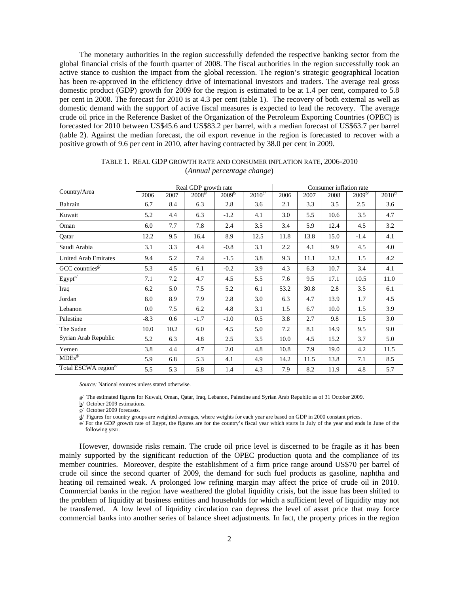The monetary authorities in the region successfully defended the respective banking sector from the global financial crisis of the fourth quarter of 2008. The fiscal authorities in the region successfully took an active stance to cushion the impact from the global recession. The region's strategic geographical location has been re-approved in the efficiency drive of international investors and traders. The average real gross domestic product (GDP) growth for 2009 for the region is estimated to be at 1.4 per cent, compared to 5.8 per cent in 2008. The forecast for 2010 is at 4.3 per cent (table 1). The recovery of both external as well as domestic demand with the support of active fiscal measures is expected to lead the recovery. The average crude oil price in the Reference Basket of the Organization of the Petroleum Exporting Countries (OPEC) is forecasted for 2010 between US\$45.6 and US\$83.2 per barrel, with a median forecast of US\$63.7 per barrel (table 2). Against the median forecast, the oil export revenue in the region is forecasted to recover with a positive growth of 9.6 per cent in 2010, after having contracted by 38.0 per cent in 2009.

|                                 | Real GDP growth rate |      |                      |                      |                | Consumer inflation rate |      |      |                      |                |  |
|---------------------------------|----------------------|------|----------------------|----------------------|----------------|-------------------------|------|------|----------------------|----------------|--|
| Country/Area                    | 2006                 | 2007 | $2008^{\frac{a}{2}}$ | $2009^{\frac{b}{2}}$ | $2010^{\circ}$ | 2006                    | 2007 | 2008 | $2009^{\frac{b}{2}}$ | $2010^{\circ}$ |  |
| Bahrain                         | 6.7                  | 8.4  | 6.3                  | 2.8                  | 3.6            | 2.1                     | 3.3  | 3.5  | 2.5                  | 3.6            |  |
| Kuwait                          | 5.2                  | 4.4  | 6.3                  | $-1.2$               | 4.1            | 3.0                     | 5.5  | 10.6 | 3.5                  | 4.7            |  |
| Oman                            | 6.0                  | 7.7  | 7.8                  | 2.4                  | 3.5            | 3.4                     | 5.9  | 12.4 | 4.5                  | 3.2            |  |
| Qatar                           | 12.2                 | 9.5  | 16.4                 | 8.9                  | 12.5           | 11.8                    | 13.8 | 15.0 | $-1.4$               | 4.1            |  |
| Saudi Arabia                    | 3.1                  | 3.3  | 4.4                  | $-0.8$               | 3.1            | 2.2                     | 4.1  | 9.9  | 4.5                  | 4.0            |  |
| United Arab Emirates            | 9.4                  | 5.2  | 7.4                  | $-1.5$               | 3.8            | 9.3                     | 11.1 | 12.3 | 1.5                  | 4.2            |  |
| GCC countries $\frac{d}{ }$     | 5.3                  | 4.5  | 6.1                  | $-0.2$               | 3.9            | 4.3                     | 6.3  | 10.7 | 3.4                  | 4.1            |  |
| Egypt <sup>e/</sup>             | 7.1                  | 7.2  | 4.7                  | 4.5                  | 5.5            | 7.6                     | 9.5  | 17.1 | 10.5                 | 11.0           |  |
| Iraq                            | 6.2                  | 5.0  | 7.5                  | 5.2                  | 6.1            | 53.2                    | 30.8 | 2.8  | 3.5                  | 6.1            |  |
| Jordan                          | 8.0                  | 8.9  | 7.9                  | 2.8                  | 3.0            | 6.3                     | 4.7  | 13.9 | 1.7                  | 4.5            |  |
| Lebanon                         | 0.0                  | 7.5  | 6.2                  | 4.8                  | 3.1            | 1.5                     | 6.7  | 10.0 | 1.5                  | 3.9            |  |
| Palestine                       | $-8.3$               | 0.6  | $-1.7$               | $-1.0$               | 0.5            | 3.8                     | 2.7  | 9.8  | 1.5                  | 3.0            |  |
| The Sudan                       | 10.0                 | 10.2 | 6.0                  | 4.5                  | 5.0            | 7.2                     | 8.1  | 14.9 | 9.5                  | 9.0            |  |
| Syrian Arab Republic            | 5.2                  | 6.3  | 4.8                  | 2.5                  | 3.5            | 10.0                    | 4.5  | 15.2 | 3.7                  | 5.0            |  |
| Yemen                           | 3.8                  | 4.4  | 4.7                  | 2.0                  | 4.8            | 10.8                    | 7.9  | 19.0 | 4.2                  | 11.5           |  |
| $MDEs^{\underline{d}}$          | 5.9                  | 6.8  | 5.3                  | 4.1                  | 4.9            | 14.2                    | 11.5 | 13.8 | 7.1                  | 8.5            |  |
| Total ESCWA region <sup>d</sup> | 5.5                  | 5.3  | 5.8                  | 1.4                  | 4.3            | 7.9                     | 8.2  | 11.9 | 4.8                  | 5.7            |  |

TABLE 1. REAL GDP GROWTH RATE AND CONSUMER INFLATION RATE, 2006-2010 (*Annual percentage change*)

 *Source:* National sources unless stated otherwise.

a/ The estimated figures for Kuwait, Oman, Qatar, Iraq, Lebanon, Palestine and Syrian Arab Republic as of 31 October 2009.

b/ October 2009 estimations.

c/ October 2009 forecasts.

 $\frac{d}{dt}$  Figures for country groups are weighted averages, where weights for each year are based on GDP in 2000 constant prices.

 e/ For the GDP growth rate of Egypt, the figures are for the country's fiscal year which starts in July of the year and ends in June of the following year.

 However, downside risks remain. The crude oil price level is discerned to be fragile as it has been mainly supported by the significant reduction of the OPEC production quota and the compliance of its member countries. Moreover, despite the establishment of a firm price range around US\$70 per barrel of crude oil since the second quarter of 2009, the demand for such fuel products as gasoline, naphtha and heating oil remained weak. A prolonged low refining margin may affect the price of crude oil in 2010. Commercial banks in the region have weathered the global liquidity crisis, but the issue has been shifted to the problem of liquidity at business entities and households for which a sufficient level of liquidity may not be transferred. A low level of liquidity circulation can depress the level of asset price that may force commercial banks into another series of balance sheet adjustments. In fact, the property prices in the region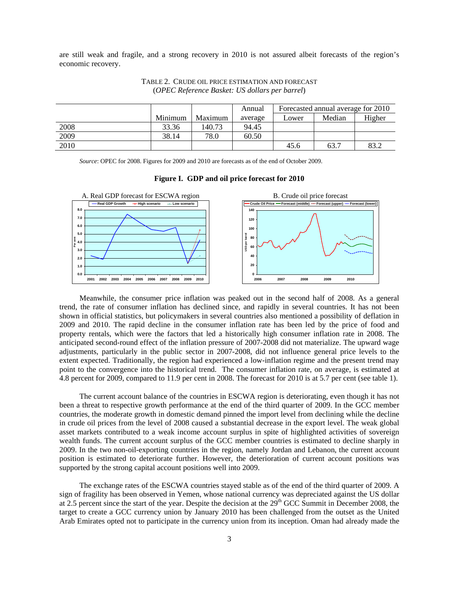are still weak and fragile, and a strong recovery in 2010 is not assured albeit forecasts of the region's economic recovery.

|      |         |         | Annual  | Forecasted annual average for 2010 |        |        |  |  |
|------|---------|---------|---------|------------------------------------|--------|--------|--|--|
|      | Minimum | Maximum | average | Lower                              | Median | Higher |  |  |
| 2008 | 33.36   | 140.73  | 94.45   |                                    |        |        |  |  |
| 2009 | 38.14   | 78.0    | 60.50   |                                    |        |        |  |  |
| 2010 |         |         |         | 45.6                               | 63.7   | 83.2   |  |  |

TABLE 2. CRUDE OIL PRICE ESTIMATION AND FORECAST (*OPEC Reference Basket: US dollars per barrel*)

*Source*: OPEC for 2008. Figures for 2009 and 2010 are forecasts as of the end of October 2009.

**Figure I. GDP and oil price forecast for 2010** 



 Meanwhile, the consumer price inflation was peaked out in the second half of 2008. As a general trend, the rate of consumer inflation has declined since, and rapidly in several countries. It has not been shown in official statistics, but policymakers in several countries also mentioned a possibility of deflation in 2009 and 2010. The rapid decline in the consumer inflation rate has been led by the price of food and property rentals, which were the factors that led a historically high consumer inflation rate in 2008. The anticipated second-round effect of the inflation pressure of 2007-2008 did not materialize. The upward wage adjustments, particularly in the public sector in 2007-2008, did not influence general price levels to the extent expected. Traditionally, the region had experienced a low-inflation regime and the present trend may point to the convergence into the historical trend. The consumer inflation rate, on average, is estimated at 4.8 percent for 2009, compared to 11.9 per cent in 2008. The forecast for 2010 is at 5.7 per cent (see table 1).

 The current account balance of the countries in ESCWA region is deteriorating, even though it has not been a threat to respective growth performance at the end of the third quarter of 2009. In the GCC member countries, the moderate growth in domestic demand pinned the import level from declining while the decline in crude oil prices from the level of 2008 caused a substantial decrease in the export level. The weak global asset markets contributed to a weak income account surplus in spite of highlighted activities of sovereign wealth funds. The current account surplus of the GCC member countries is estimated to decline sharply in 2009. In the two non-oil-exporting countries in the region, namely Jordan and Lebanon, the current account position is estimated to deteriorate further. However, the deterioration of current account positions was supported by the strong capital account positions well into 2009.

 The exchange rates of the ESCWA countries stayed stable as of the end of the third quarter of 2009. A sign of fragility has been observed in Yemen, whose national currency was depreciated against the US dollar at 2.5 percent since the start of the year. Despite the decision at the  $29<sup>th</sup>$  GCC Summit in December 2008, the target to create a GCC currency union by January 2010 has been challenged from the outset as the United Arab Emirates opted not to participate in the currency union from its inception. Oman had already made the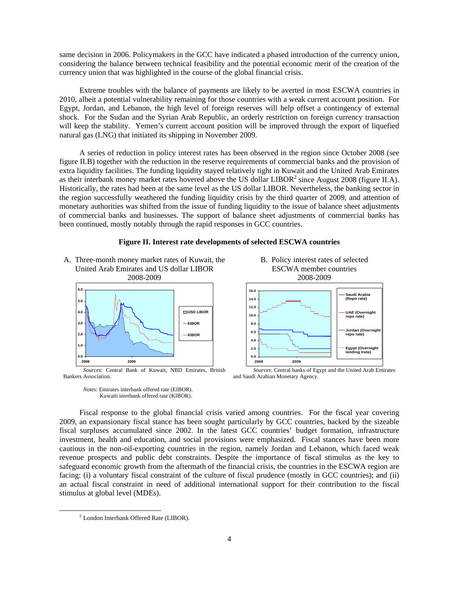same decision in 2006. Policymakers in the GCC have indicated a phased introduction of the currency union, considering the balance between technical feasibility and the potential economic merit of the creation of the currency union that was highlighted in the course of the global financial crisis.

 Extreme troubles with the balance of payments are likely to be averted in most ESCWA countries in 2010, albeit a potential vulnerability remaining for those countries with a weak current account position. For Egypt, Jordan, and Lebanon, the high level of foreign reserves will help offset a contingency of external shock. For the Sudan and the Syrian Arab Republic, an orderly restriction on foreign currency transaction will keep the stability. Yemen's current account position will be improved through the export of liquefied natural gas (LNG) that initiated its shipping in November 2009.

 A series of reduction in policy interest rates has been observed in the region since October 2008 (see figure II.B) together with the reduction in the reserve requirements of commercial banks and the provision of extra liquidity facilities. The funding liquidity stayed relatively tight in Kuwait and the United Arab Emirates as their interbank money market rates hovered above the US dollar LIBOR<sup>2</sup> since August 2008 (figure II.A). Historically, the rates had been at the same level as the US dollar LIBOR. Nevertheless, the banking sector in the region successfully weathered the funding liquidity crisis by the third quarter of 2009, and attention of monetary authorities was shifted from the issue of funding liquidity to the issue of balance sheet adjustments of commercial banks and businesses. The support of balance sheet adjustments of commercial banks has been continued, mostly notably through the rapid responses in GCC countries.

#### **Figure II. Interest rate developments of selected ESCWA countries**





*Sources*: Central Bank of Kuwait, NBD Emirates, British Bankers Association.







*Sources*: Central banks of Egypt and the United Arab Emirates and Saudi Arabian Monetary Agency.

 Fiscal response to the global financial crisis varied among countries. For the fiscal year covering 2009, an expansionary fiscal stance has been sought particularly by GCC countries, backed by the sizeable fiscal surpluses accumulated since 2002. In the latest GCC countries' budget formation, infrastructure investment, health and education, and social provisions were emphasized. Fiscal stances have been more cautious in the non-oil-exporting countries in the region, namely Jordan and Lebanon, which faced weak revenue prospects and public debt constraints. Despite the importance of fiscal stimulus as the key to safeguard economic growth from the aftermath of the financial crisis, the countries in the ESCWA region are facing: (i) a voluntary fiscal constraint of the culture of fiscal prudence (mostly in GCC countries); and (ii) an actual fiscal constraint in need of additional international support for their contribution to the fiscal stimulus at global level (MDEs).

 $\overline{\phantom{a}}$ <sup>2</sup> London Interbank Offered Rate (LIBOR).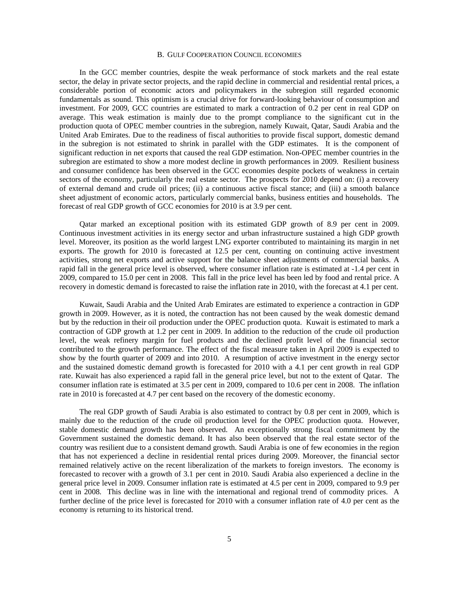#### B. GULF COOPERATION COUNCIL ECONOMIES

 In the GCC member countries, despite the weak performance of stock markets and the real estate sector, the delay in private sector projects, and the rapid decline in commercial and residential rental prices, a considerable portion of economic actors and policymakers in the subregion still regarded economic fundamentals as sound. This optimism is a crucial drive for forward-looking behaviour of consumption and investment. For 2009, GCC countries are estimated to mark a contraction of 0.2 per cent in real GDP on average. This weak estimation is mainly due to the prompt compliance to the significant cut in the production quota of OPEC member countries in the subregion, namely Kuwait, Qatar, Saudi Arabia and the United Arab Emirates. Due to the readiness of fiscal authorities to provide fiscal support, domestic demand in the subregion is not estimated to shrink in parallel with the GDP estimates. It is the component of significant reduction in net exports that caused the real GDP estimation. Non-OPEC member countries in the subregion are estimated to show a more modest decline in growth performances in 2009. Resilient business and consumer confidence has been observed in the GCC economies despite pockets of weakness in certain sectors of the economy, particularly the real estate sector. The prospects for 2010 depend on: (i) a recovery of external demand and crude oil prices; (ii) a continuous active fiscal stance; and (iii) a smooth balance sheet adjustment of economic actors, particularly commercial banks, business entities and households. The forecast of real GDP growth of GCC economies for 2010 is at 3.9 per cent.

 Qatar marked an exceptional position with its estimated GDP growth of 8.9 per cent in 2009. Continuous investment activities in its energy sector and urban infrastructure sustained a high GDP growth level. Moreover, its position as the world largest LNG exporter contributed to maintaining its margin in net exports. The growth for 2010 is forecasted at 12.5 per cent, counting on continuing active investment activities, strong net exports and active support for the balance sheet adjustments of commercial banks. A rapid fall in the general price level is observed, where consumer inflation rate is estimated at -1.4 per cent in 2009, compared to 15.0 per cent in 2008. This fall in the price level has been led by food and rental price. A recovery in domestic demand is forecasted to raise the inflation rate in 2010, with the forecast at 4.1 per cent.

 Kuwait, Saudi Arabia and the United Arab Emirates are estimated to experience a contraction in GDP growth in 2009. However, as it is noted, the contraction has not been caused by the weak domestic demand but by the reduction in their oil production under the OPEC production quota. Kuwait is estimated to mark a contraction of GDP growth at 1.2 per cent in 2009. In addition to the reduction of the crude oil production level, the weak refinery margin for fuel products and the declined profit level of the financial sector contributed to the growth performance. The effect of the fiscal measure taken in April 2009 is expected to show by the fourth quarter of 2009 and into 2010. A resumption of active investment in the energy sector and the sustained domestic demand growth is forecasted for 2010 with a 4.1 per cent growth in real GDP rate. Kuwait has also experienced a rapid fall in the general price level, but not to the extent of Qatar. The consumer inflation rate is estimated at 3.5 per cent in 2009, compared to 10.6 per cent in 2008. The inflation rate in 2010 is forecasted at 4.7 per cent based on the recovery of the domestic economy.

 The real GDP growth of Saudi Arabia is also estimated to contract by 0.8 per cent in 2009, which is mainly due to the reduction of the crude oil production level for the OPEC production quota. However, stable domestic demand growth has been observed. An exceptionally strong fiscal commitment by the Government sustained the domestic demand. It has also been observed that the real estate sector of the country was resilient due to a consistent demand growth. Saudi Arabia is one of few economies in the region that has not experienced a decline in residential rental prices during 2009. Moreover, the financial sector remained relatively active on the recent liberalization of the markets to foreign investors. The economy is forecasted to recover with a growth of 3.1 per cent in 2010. Saudi Arabia also experienced a decline in the general price level in 2009. Consumer inflation rate is estimated at 4.5 per cent in 2009, compared to 9.9 per cent in 2008. This decline was in line with the international and regional trend of commodity prices. A further decline of the price level is forecasted for 2010 with a consumer inflation rate of 4.0 per cent as the economy is returning to its historical trend.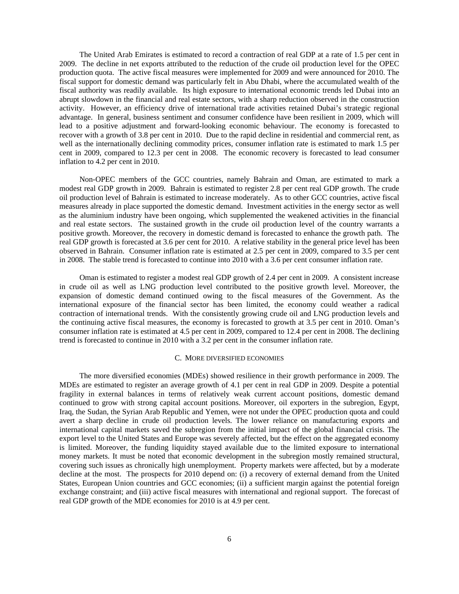The United Arab Emirates is estimated to record a contraction of real GDP at a rate of 1.5 per cent in 2009. The decline in net exports attributed to the reduction of the crude oil production level for the OPEC production quota. The active fiscal measures were implemented for 2009 and were announced for 2010. The fiscal support for domestic demand was particularly felt in Abu Dhabi, where the accumulated wealth of the fiscal authority was readily available. Its high exposure to international economic trends led Dubai into an abrupt slowdown in the financial and real estate sectors, with a sharp reduction observed in the construction activity. However, an efficiency drive of international trade activities retained Dubai's strategic regional advantage. In general, business sentiment and consumer confidence have been resilient in 2009, which will lead to a positive adjustment and forward-looking economic behaviour. The economy is forecasted to recover with a growth of 3.8 per cent in 2010. Due to the rapid decline in residential and commercial rent, as well as the internationally declining commodity prices, consumer inflation rate is estimated to mark 1.5 per cent in 2009, compared to 12.3 per cent in 2008. The economic recovery is forecasted to lead consumer inflation to 4.2 per cent in 2010.

 Non-OPEC members of the GCC countries, namely Bahrain and Oman, are estimated to mark a modest real GDP growth in 2009. Bahrain is estimated to register 2.8 per cent real GDP growth. The crude oil production level of Bahrain is estimated to increase moderately. As to other GCC countries, active fiscal measures already in place supported the domestic demand. Investment activities in the energy sector as well as the aluminium industry have been ongoing, which supplemented the weakened activities in the financial and real estate sectors. The sustained growth in the crude oil production level of the country warrants a positive growth. Moreover, the recovery in domestic demand is forecasted to enhance the growth path. The real GDP growth is forecasted at 3.6 per cent for 2010. A relative stability in the general price level has been observed in Bahrain. Consumer inflation rate is estimated at 2.5 per cent in 2009, compared to 3.5 per cent in 2008. The stable trend is forecasted to continue into 2010 with a 3.6 per cent consumer inflation rate.

 Oman is estimated to register a modest real GDP growth of 2.4 per cent in 2009. A consistent increase in crude oil as well as LNG production level contributed to the positive growth level. Moreover, the expansion of domestic demand continued owing to the fiscal measures of the Government. As the international exposure of the financial sector has been limited, the economy could weather a radical contraction of international trends. With the consistently growing crude oil and LNG production levels and the continuing active fiscal measures, the economy is forecasted to growth at 3.5 per cent in 2010. Oman's consumer inflation rate is estimated at 4.5 per cent in 2009, compared to 12.4 per cent in 2008. The declining trend is forecasted to continue in 2010 with a 3.2 per cent in the consumer inflation rate.

#### C. MORE DIVERSIFIED ECONOMIES

 The more diversified economies (MDEs) showed resilience in their growth performance in 2009. The MDEs are estimated to register an average growth of 4.1 per cent in real GDP in 2009. Despite a potential fragility in external balances in terms of relatively weak current account positions, domestic demand continued to grow with strong capital account positions. Moreover, oil exporters in the subregion, Egypt, Iraq, the Sudan, the Syrian Arab Republic and Yemen, were not under the OPEC production quota and could avert a sharp decline in crude oil production levels. The lower reliance on manufacturing exports and international capital markets saved the subregion from the initial impact of the global financial crisis. The export level to the United States and Europe was severely affected, but the effect on the aggregated economy is limited. Moreover, the funding liquidity stayed available due to the limited exposure to international money markets. It must be noted that economic development in the subregion mostly remained structural, covering such issues as chronically high unemployment. Property markets were affected, but by a moderate decline at the most. The prospects for 2010 depend on: (i) a recovery of external demand from the United States, European Union countries and GCC economies; (ii) a sufficient margin against the potential foreign exchange constraint; and (iii) active fiscal measures with international and regional support. The forecast of real GDP growth of the MDE economies for 2010 is at 4.9 per cent.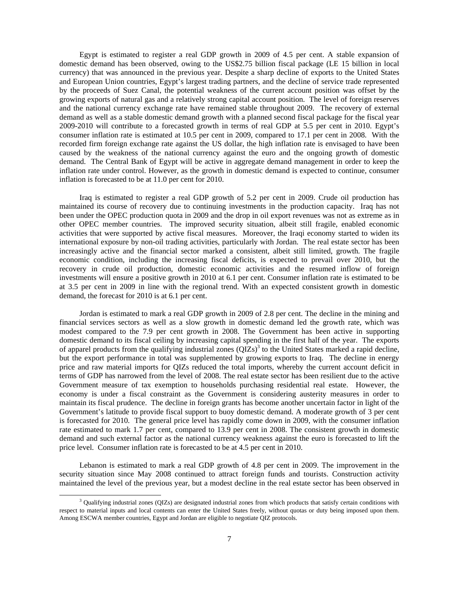Egypt is estimated to register a real GDP growth in 2009 of 4.5 per cent. A stable expansion of domestic demand has been observed, owing to the US\$2.75 billion fiscal package (LE 15 billion in local currency) that was announced in the previous year. Despite a sharp decline of exports to the United States and European Union countries, Egypt's largest trading partners, and the decline of service trade represented by the proceeds of Suez Canal, the potential weakness of the current account position was offset by the growing exports of natural gas and a relatively strong capital account position. The level of foreign reserves and the national currency exchange rate have remained stable throughout 2009. The recovery of external demand as well as a stable domestic demand growth with a planned second fiscal package for the fiscal year 2009-2010 will contribute to a forecasted growth in terms of real GDP at 5.5 per cent in 2010. Egypt's consumer inflation rate is estimated at 10.5 per cent in 2009, compared to 17.1 per cent in 2008. With the recorded firm foreign exchange rate against the US dollar, the high inflation rate is envisaged to have been caused by the weakness of the national currency against the euro and the ongoing growth of domestic demand. The Central Bank of Egypt will be active in aggregate demand management in order to keep the inflation rate under control. However, as the growth in domestic demand is expected to continue, consumer inflation is forecasted to be at 11.0 per cent for 2010.

 Iraq is estimated to register a real GDP growth of 5.2 per cent in 2009. Crude oil production has maintained its course of recovery due to continuing investments in the production capacity. Iraq has not been under the OPEC production quota in 2009 and the drop in oil export revenues was not as extreme as in other OPEC member countries. The improved security situation, albeit still fragile, enabled economic activities that were supported by active fiscal measures. Moreover, the Iraqi economy started to widen its international exposure by non-oil trading activities, particularly with Jordan. The real estate sector has been increasingly active and the financial sector marked a consistent, albeit still limited, growth. The fragile economic condition, including the increasing fiscal deficits, is expected to prevail over 2010, but the recovery in crude oil production, domestic economic activities and the resumed inflow of foreign investments will ensure a positive growth in 2010 at 6.1 per cent. Consumer inflation rate is estimated to be at 3.5 per cent in 2009 in line with the regional trend. With an expected consistent growth in domestic demand, the forecast for 2010 is at 6.1 per cent.

 Jordan is estimated to mark a real GDP growth in 2009 of 2.8 per cent. The decline in the mining and financial services sectors as well as a slow growth in domestic demand led the growth rate, which was modest compared to the 7.9 per cent growth in 2008. The Government has been active in supporting domestic demand to its fiscal ceiling by increasing capital spending in the first half of the year. The exports of apparel products from the qualifying industrial zones  $(QIZs)^3$  to the United States marked a rapid decline, but the export performance in total was supplemented by growing exports to Iraq. The decline in energy price and raw material imports for QIZs reduced the total imports, whereby the current account deficit in terms of GDP has narrowed from the level of 2008. The real estate sector has been resilient due to the active Government measure of tax exemption to households purchasing residential real estate. However, the economy is under a fiscal constraint as the Government is considering austerity measures in order to maintain its fiscal prudence. The decline in foreign grants has become another uncertain factor in light of the Government's latitude to provide fiscal support to buoy domestic demand. A moderate growth of 3 per cent is forecasted for 2010. The general price level has rapidly come down in 2009, with the consumer inflation rate estimated to mark 1.7 per cent, compared to 13.9 per cent in 2008. The consistent growth in domestic demand and such external factor as the national currency weakness against the euro is forecasted to lift the price level. Consumer inflation rate is forecasted to be at 4.5 per cent in 2010.

 Lebanon is estimated to mark a real GDP growth of 4.8 per cent in 2009. The improvement in the security situation since May 2008 continued to attract foreign funds and tourists. Construction activity maintained the level of the previous year, but a modest decline in the real estate sector has been observed in

 $\overline{\phantom{a}}$  3  $3$  Qualifying industrial zones (QIZs) are designated industrial zones from which products that satisfy certain conditions with respect to material inputs and local contents can enter the United States freely, without quotas or duty being imposed upon them. Among ESCWA member countries, Egypt and Jordan are eligible to negotiate QIZ protocols.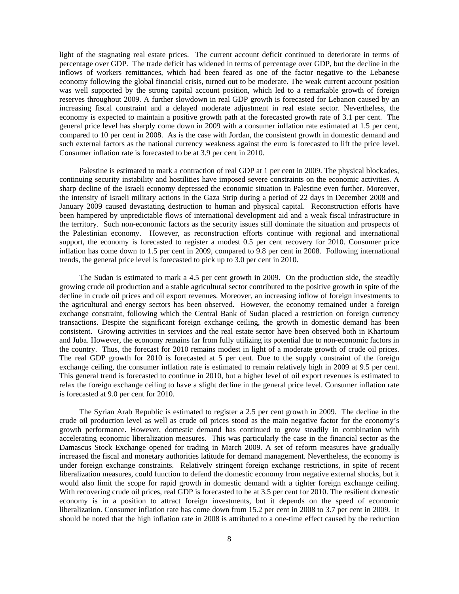light of the stagnating real estate prices. The current account deficit continued to deteriorate in terms of percentage over GDP. The trade deficit has widened in terms of percentage over GDP, but the decline in the inflows of workers remittances, which had been feared as one of the factor negative to the Lebanese economy following the global financial crisis, turned out to be moderate. The weak current account position was well supported by the strong capital account position, which led to a remarkable growth of foreign reserves throughout 2009. A further slowdown in real GDP growth is forecasted for Lebanon caused by an increasing fiscal constraint and a delayed moderate adjustment in real estate sector. Nevertheless, the economy is expected to maintain a positive growth path at the forecasted growth rate of 3.1 per cent. The general price level has sharply come down in 2009 with a consumer inflation rate estimated at 1.5 per cent, compared to 10 per cent in 2008. As is the case with Jordan, the consistent growth in domestic demand and such external factors as the national currency weakness against the euro is forecasted to lift the price level. Consumer inflation rate is forecasted to be at 3.9 per cent in 2010.

 Palestine is estimated to mark a contraction of real GDP at 1 per cent in 2009. The physical blockades, continuing security instability and hostilities have imposed severe constraints on the economic activities. A sharp decline of the Israeli economy depressed the economic situation in Palestine even further. Moreover, the intensity of Israeli military actions in the Gaza Strip during a period of 22 days in December 2008 and January 2009 caused devastating destruction to human and physical capital. Reconstruction efforts have been hampered by unpredictable flows of international development aid and a weak fiscal infrastructure in the territory. Such non-economic factors as the security issues still dominate the situation and prospects of the Palestinian economy. However, as reconstruction efforts continue with regional and international support, the economy is forecasted to register a modest 0.5 per cent recovery for 2010. Consumer price inflation has come down to 1.5 per cent in 2009, compared to 9.8 per cent in 2008. Following international trends, the general price level is forecasted to pick up to 3.0 per cent in 2010.

 The Sudan is estimated to mark a 4.5 per cent growth in 2009. On the production side, the steadily growing crude oil production and a stable agricultural sector contributed to the positive growth in spite of the decline in crude oil prices and oil export revenues. Moreover, an increasing inflow of foreign investments to the agricultural and energy sectors has been observed. However, the economy remained under a foreign exchange constraint, following which the Central Bank of Sudan placed a restriction on foreign currency transactions. Despite the significant foreign exchange ceiling, the growth in domestic demand has been consistent. Growing activities in services and the real estate sector have been observed both in Khartoum and Juba. However, the economy remains far from fully utilizing its potential due to non-economic factors in the country. Thus, the forecast for 2010 remains modest in light of a moderate growth of crude oil prices. The real GDP growth for 2010 is forecasted at 5 per cent. Due to the supply constraint of the foreign exchange ceiling, the consumer inflation rate is estimated to remain relatively high in 2009 at 9.5 per cent. This general trend is forecasted to continue in 2010, but a higher level of oil export revenues is estimated to relax the foreign exchange ceiling to have a slight decline in the general price level. Consumer inflation rate is forecasted at 9.0 per cent for 2010.

 The Syrian Arab Republic is estimated to register a 2.5 per cent growth in 2009. The decline in the crude oil production level as well as crude oil prices stood as the main negative factor for the economy's growth performance. However, domestic demand has continued to grow steadily in combination with accelerating economic liberalization measures. This was particularly the case in the financial sector as the Damascus Stock Exchange opened for trading in March 2009. A set of reform measures have gradually increased the fiscal and monetary authorities latitude for demand management. Nevertheless, the economy is under foreign exchange constraints. Relatively stringent foreign exchange restrictions, in spite of recent liberalization measures, could function to defend the domestic economy from negative external shocks, but it would also limit the scope for rapid growth in domestic demand with a tighter foreign exchange ceiling. With recovering crude oil prices, real GDP is forecasted to be at 3.5 per cent for 2010. The resilient domestic economy is in a position to attract foreign investments, but it depends on the speed of economic liberalization. Consumer inflation rate has come down from 15.2 per cent in 2008 to 3.7 per cent in 2009. It should be noted that the high inflation rate in 2008 is attributed to a one-time effect caused by the reduction